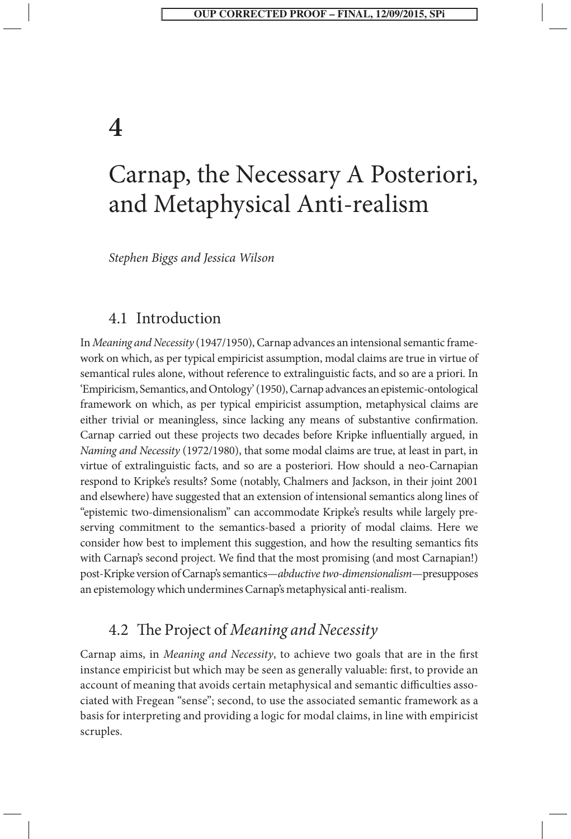# Carnap, the Necessary A Posteriori, and Metaphysical Anti-realism

Stephen Biggs and Jessica Wilson

### 4.1 Introduction

In Meaning and Necessity (1947/1950), Carnap advances an intensional semantic framework on which, as per typical empiricist assumption, modal claims are true in virtue of semantical rules alone, without reference to extralinguistic facts, and so are a priori. In 'Empiricism, Semantics, and Ontology' (1950), Carnap advances an epistemic-ontological framework on which, as per typical empiricist assumption, metaphysical claims are either trivial or meaningless, since lacking any means of substantive confirmation. Carnap carried out these projects two decades before Kripke influentially argued, in Naming and Necessity (1972/1980), that some modal claims are true, at least in part, in virtue of extralinguistic facts, and so are a posteriori. How should a neo-Carnapian respond to Kripke's results? Some (notably, Chalmers and Jackson, in their joint 2001 and elsewhere) have suggested that an extension of intensional semantics along lines of "epistemic two-dimensionalism" can accommodate Kripke's results while largely preserving commitment to the semantics-based a priority of modal claims. Here we consider how best to implement this suggestion, and how the resulting semantics fits with Carnap's second project. We find that the most promising (and most Carnapian!) post-Kripke version of Carnap's semantics—abductive two-dimensionalism—presupposes an epistemology which undermines Carnap's metaphysical anti-realism.

### 4.2 The Project of Meaning and Necessity

Carnap aims, in Meaning and Necessity, to achieve two goals that are in the first instance empiricist but which may be seen as generally valuable: first, to provide an account of meaning that avoids certain metaphysical and semantic difficulties associated with Fregean "sense"; second, to use the associated semantic framework as a basis for interpreting and providing a logic for modal claims, in line with empiricist scruples.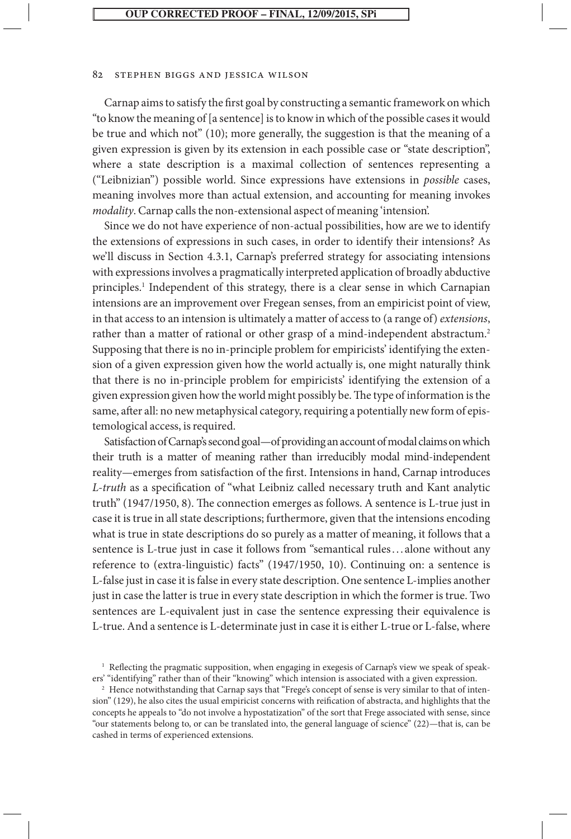Carnap aims to satisfy the first goal by constructing a semantic framework on which "to know the meaning of [a sentence] is to know in which of the possible cases it would be true and which not" (10); more generally, the suggestion is that the meaning of a given expression is given by its extension in each possible case or "state description", where a state description is a maximal collection of sentences representing a ("Leibnizian") possible world. Since expressions have extensions in possible cases, meaning involves more than actual extension, and accounting for meaning invokes modality. Carnap calls the non-extensional aspect of meaning 'intension'.

Since we do not have experience of non-actual possibilities, how are we to identify the extensions of expressions in such cases, in order to identify their intensions? As we'll discuss in Section 4.3.1, Carnap's preferred strategy for associating intensions with expressions involves a pragmatically interpreted application of broadly abductive principles.<sup>1</sup> Independent of this strategy, there is a clear sense in which Carnapian intensions are an improvement over Fregean senses, from an empiricist point of view, in that access to an intension is ultimately a matter of access to (a range of) extensions, rather than a matter of rational or other grasp of a mind-independent abstractum.<sup>2</sup> Supposing that there is no in-principle problem for empiricists' identifying the extension of a given expression given how the world actually is, one might naturally think that there is no in-principle problem for empiricists' identifying the extension of a given expression given how the world might possibly be. The type of information is the same, after all: no new metaphysical category, requiring a potentially new form of epistemological access, is required.

Satisfaction of Carnap's second goal—of providing an account of modal claims on which their truth is a matter of meaning rather than irreducibly modal mind-independent reality—emerges from satisfaction of the first. Intensions in hand, Carnap introduces L-truth as a specification of "what Leibniz called necessary truth and Kant analytic truth" (1947/1950, 8). The connection emerges as follows. A sentence is L-true just in case it is true in all state descriptions; furthermore, given that the intensions encoding what is true in state descriptions do so purely as a matter of meaning, it follows that a sentence is L-true just in case it follows from "semantical rules. . . alone without any reference to (extra-linguistic) facts" (1947/1950, 10). Continuing on: a sentence is L-false just in case it is false in every state description. One sentence L-implies another just in case the latter is true in every state description in which the former is true. Two sentences are L-equivalent just in case the sentence expressing their equivalence is L-true. And a sentence is L-determinate just in case it is either L-true or L-false, where

 $1$  Reflecting the pragmatic supposition, when engaging in exegesis of Carnap's view we speak of speakers' "identifying" rather than of their "knowing" which intension is associated with a given expression.

<sup>&</sup>lt;sup>2</sup> Hence notwithstanding that Carnap says that "Frege's concept of sense is very similar to that of intension" (129), he also cites the usual empiricist concerns with reification of abstracta, and highlights that the concepts he appeals to "do not involve a hypostatization" of the sort that Frege associated with sense, since "our statements belong to, or can be translated into, the general language of science" (22)—that is, can be cashed in terms of experienced extensions.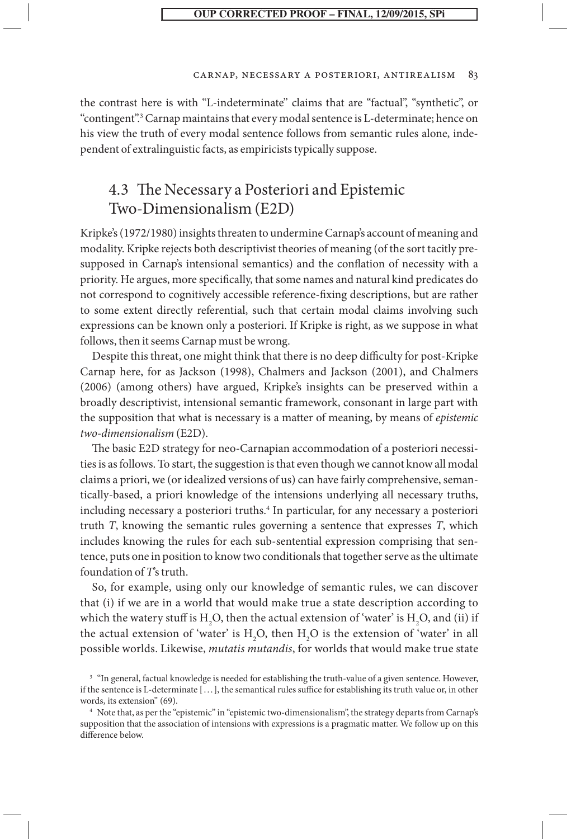the contrast here is with "L-indeterminate" claims that are "factual", "synthetic", or "contingent".<sup>3</sup> Carnap maintains that every modal sentence is L-determinate; hence on his view the truth of every modal sentence follows from semantic rules alone, independent of extralinguistic facts, as empiricists typically suppose.

# 4.3 The Necessary a Posteriori and Epistemic Two-Dimensionalism (E2D)

Kripke's (1972/1980) insights threaten to undermine Carnap's account of meaning and modality. Kripke rejects both descriptivist theories of meaning (of the sort tacitly presupposed in Carnap's intensional semantics) and the conflation of necessity with a priority. He argues, more specifically, that some names and natural kind predicates do not correspond to cognitively accessible reference-fixing descriptions, but are rather to some extent directly referential, such that certain modal claims involving such expressions can be known only a posteriori. If Kripke is right, as we suppose in what follows, then it seems Carnap must be wrong.

Despite this threat, one might think that there is no deep difficulty for post-Kripke Carnap here, for as Jackson (1998), Chalmers and Jackson (2001), and Chalmers (2006) (among others) have argued, Kripke's insights can be preserved within a broadly descriptivist, intensional semantic framework, consonant in large part with the supposition that what is necessary is a matter of meaning, by means of epistemic two-dimensionalism (E2D).

The basic E2D strategy for neo-Carnapian accommodation of a posteriori necessities is as follows. To start, the suggestion is that even though we cannot know all modal claims a priori, we (or idealized versions of us) can have fairly comprehensive, semantically-based, a priori knowledge of the intensions underlying all necessary truths, including necessary a posteriori truths.4 In particular, for any necessary a posteriori truth T, knowing the semantic rules governing a sentence that expresses T, which includes knowing the rules for each sub-sentential expression comprising that sentence, puts one in position to know two conditionals that together serve as the ultimate foundation of T's truth.

So, for example, using only our knowledge of semantic rules, we can discover that (i) if we are in a world that would make true a state description according to which the watery stuff is  $\text{H}_{\text{2}}\text{O}$ , then the actual extension of 'water' is  $\text{H}_{\text{2}}\text{O}$ , and (ii) if the actual extension of 'water' is  $H_2O$ , then  $H_2O$  is the extension of 'water' in all possible worlds. Likewise, mutatis mutandis, for worlds that would make true state

<sup>&</sup>lt;sup>3</sup> "In general, factual knowledge is needed for establishing the truth-value of a given sentence. However, if the sentence is L-determinate [...], the semantical rules suffice for establishing its truth value or, in other words, its extension" (69).

<sup>4</sup> Note that, as per the "epistemic" in "epistemic two-dimensionalism", the strategy departs from Carnap's supposition that the association of intensions with expressions is a pragmatic matter. We follow up on this difference below.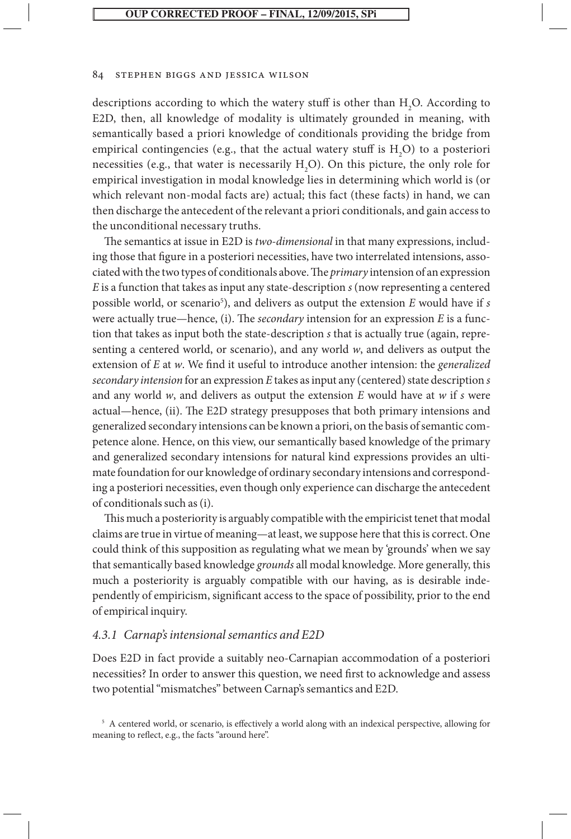descriptions according to which the watery stuff is other than  $\rm H_2O$ . According to E2D, then, all knowledge of modality is ultimately grounded in meaning, with semantically based a priori knowledge of conditionals providing the bridge from empirical contingencies (e.g., that the actual watery stuff is  $H_2O$ ) to a posteriori necessities (e.g., that water is necessarily  $H_2O$ ). On this picture, the only role for empirical investigation in modal knowledge lies in determining which world is (or which relevant non-modal facts are) actual; this fact (these facts) in hand, we can then discharge the antecedent of the relevant a priori conditionals, and gain access to the unconditional necessary truths.

The semantics at issue in E2D is two-dimensional in that many expressions, including those that figure in a posteriori necessities, have two interrelated intensions, associated with the two types of conditionals above. The *primary* intension of an expression  $E$  is a function that takes as input any state-description  $s$  (now representing a centered possible world, or scenario<sup>5</sup>), and delivers as output the extension  $E$  would have if  $s$ were actually true—hence, (i). The secondary intension for an expression  $E$  is a function that takes as input both the state-description s that is actually true (again, representing a centered world, or scenario), and any world  $w$ , and delivers as output the extension of  $E$  at  $w$ . We find it useful to introduce another intension: the generalized secondary intension for an expression E takes as input any (centered) state description s and any world  $w$ , and delivers as output the extension  $E$  would have at  $w$  if  $s$  were actual—hence, (ii). The E2D strategy presupposes that both primary intensions and generalized secondary intensions can be known a priori, on the basis of semantic competence alone. Hence, on this view, our semantically based knowledge of the primary and generalized secondary intensions for natural kind expressions provides an ultimate foundation for our knowledge of ordinary secondary intensions and corresponding a posteriori necessities, even though only experience can discharge the antecedent of conditionals such as (i).

This much a posteriority is arguably compatible with the empiricist tenet that modal claims are true in virtue of meaning—at least, we suppose here that this is correct. One could think of this supposition as regulating what we mean by 'grounds' when we say that semantically based knowledge grounds all modal knowledge. More generally, this much a posteriority is arguably compatible with our having, as is desirable independently of empiricism, significant access to the space of possibility, prior to the end of empirical inquiry.

#### 4.3.1 Carnap's intensional semantics and E2D

Does E2D in fact provide a suitably neo-Carnapian accommodation of a posteriori necessities? In order to answer this question, we need first to acknowledge and assess two potential "mismatches" between Carnap's semantics and E2D.

<sup>&</sup>lt;sup>5</sup> A centered world, or scenario, is effectively a world along with an indexical perspective, allowing for meaning to reflect, e.g., the facts "around here".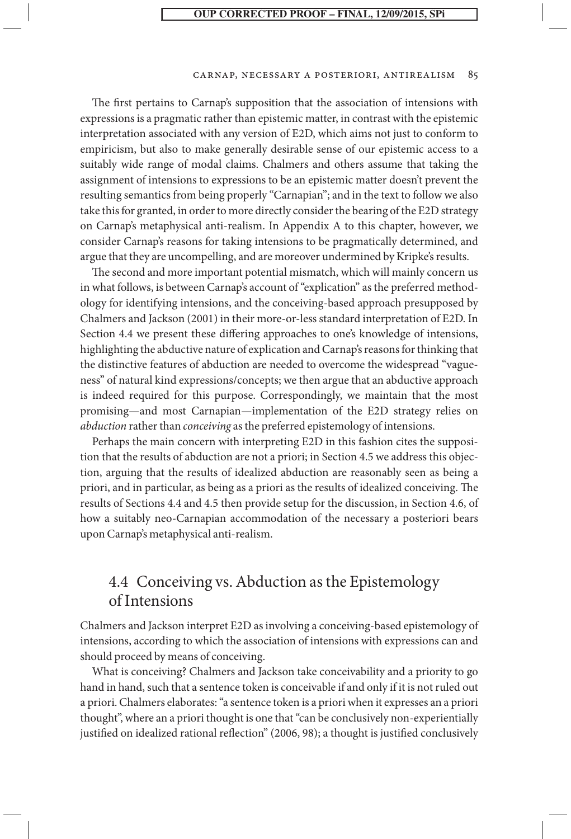The first pertains to Carnap's supposition that the association of intensions with expressions is a pragmatic rather than epistemic matter, in contrast with the epistemic interpretation associated with any version of E2D, which aims not just to conform to empiricism, but also to make generally desirable sense of our epistemic access to a suitably wide range of modal claims. Chalmers and others assume that taking the assignment of intensions to expressions to be an epistemic matter doesn't prevent the resulting semantics from being properly "Carnapian"; and in the text to follow we also take this for granted, in order to more directly consider the bearing of the E2D strategy on Carnap's metaphysical anti-realism. In Appendix A to this chapter, however, we consider Carnap's reasons for taking intensions to be pragmatically determined, and argue that they are uncompelling, and are moreover undermined by Kripke's results.

The second and more important potential mismatch, which will mainly concern us in what follows, is between Carnap's account of "explication" as the preferred methodology for identifying intensions, and the conceiving-based approach presupposed by Chalmers and Jackson (2001) in their more-or-less standard interpretation of E2D. In Section 4.4 we present these differing approaches to one's knowledge of intensions, highlighting the abductive nature of explication and Carnap's reasons for thinking that the distinctive features of abduction are needed to overcome the widespread "vagueness" of natural kind expressions/concepts; we then argue that an abductive approach is indeed required for this purpose. Correspondingly, we maintain that the most promising—and most Carnapian—implementation of the E2D strategy relies on abduction rather than conceiving as the preferred epistemology of intensions.

Perhaps the main concern with interpreting E2D in this fashion cites the supposition that the results of abduction are not a priori; in Section 4.5 we address this objection, arguing that the results of idealized abduction are reasonably seen as being a priori, and in particular, as being as a priori as the results of idealized conceiving. The results of Sections 4.4 and 4.5 then provide setup for the discussion, in Section 4.6, of how a suitably neo-Carnapian accommodation of the necessary a posteriori bears upon Carnap's metaphysical anti-realism.

# 4.4 Conceiving vs. Abduction as the Epistemology ofIntensions

Chalmers and Jackson interpret E2D as involving a conceiving-based epistemology of intensions, according to which the association of intensions with expressions can and should proceed by means of conceiving.

What is conceiving? Chalmers and Jackson take conceivability and a priority to go hand in hand, such that a sentence token is conceivable if and only if it is not ruled out a priori. Chalmers elaborates: "a sentence token is a priori when it expresses an a priori thought", where an a priori thought is one that "can be conclusively non-experientially justified on idealized rational reflection" (2006, 98); a thought is justified conclusively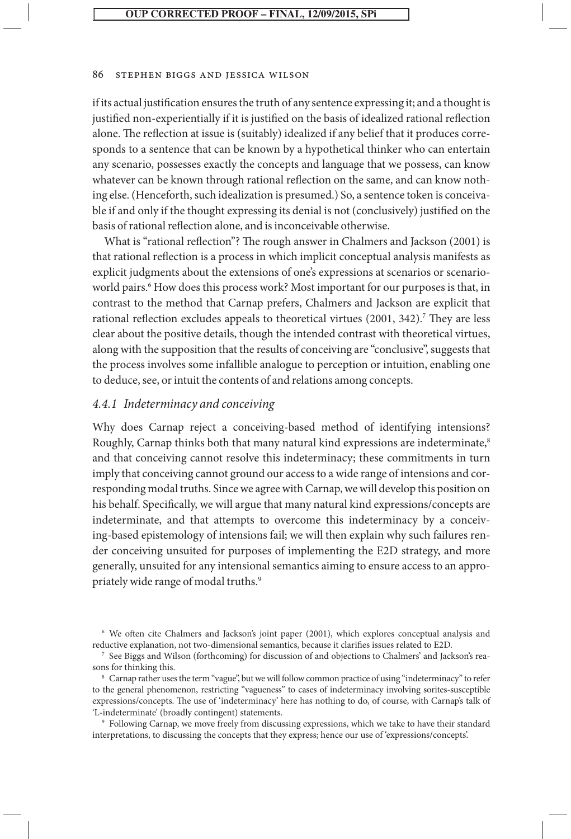if its actual justification ensures the truth of any sentence expressing it; and a thought is justified non-experientially if it is justified on the basis of idealized rational reflection alone. The reflection at issue is (suitably) idealized if any belief that it produces corresponds to a sentence that can be known by a hypothetical thinker who can entertain any scenario, possesses exactly the concepts and language that we possess, can know whatever can be known through rational reflection on the same, and can know nothing else. (Henceforth, such idealization is presumed.) So, a sentence token is conceivable if and only if the thought expressing its denial is not (conclusively) justified on the basis of rational reflection alone, and is inconceivable otherwise.

What is "rational reflection"? The rough answer in Chalmers and Jackson (2001) is that rational reflection is a process in which implicit conceptual analysis manifests as explicit judgments about the extensions of one's expressions at scenarios or scenarioworld pairs.<sup>6</sup> How does this process work? Most important for our purposes is that, in contrast to the method that Carnap prefers, Chalmers and Jackson are explicit that rational reflection excludes appeals to theoretical virtues (2001, 342).<sup>7</sup> They are less clear about the positive details, though the intended contrast with theoretical virtues, along with the supposition that the results of conceiving are "conclusive", suggests that the process involves some infallible analogue to perception or intuition, enabling one to deduce, see, or intuit the contents of and relations among concepts.

#### 4.4.1 Indeterminacy and conceiving

Why does Carnap reject a conceiving-based method of identifying intensions? Roughly, Carnap thinks both that many natural kind expressions are indeterminate,<sup>8</sup> and that conceiving cannot resolve this indeterminacy; these commitments in turn imply that conceiving cannot ground our access to a wide range of intensions and corresponding modal truths. Since we agree with Carnap, we will develop this position on his behalf. Specifically, we will argue that many natural kind expressions/concepts are indeterminate, and that attempts to overcome this indeterminacy by a conceiving-based epistemology of intensions fail; we will then explain why such failures render conceiving unsuited for purposes of implementing the E2D strategy, and more generally, unsuited for any intensional semantics aiming to ensure access to an appropriately wide range of modal truths.<sup>9</sup>

<sup>6</sup> We often cite Chalmers and Jackson's joint paper (2001), which explores conceptual analysis and reductive explanation, not two-dimensional semantics, because it clarifies issues related to E2D.

<sup>7</sup> See Biggs and Wilson (forthcoming) for discussion of and objections to Chalmers' and Jackson's reasons for thinking this.

<sup>8</sup> Carnap rather uses the term "vague", but we will follow common practice of using "indeterminacy" to refer to the general phenomenon, restricting "vagueness" to cases of indeterminacy involving sorites-susceptible expressions/concepts. The use of 'indeterminacy' here has nothing to do, of course, with Carnap's talk of 'L-indeterminate' (broadly contingent) statements.

<sup>9</sup> Following Carnap, we move freely from discussing expressions, which we take to have their standard interpretations, to discussing the concepts that they express; hence our use of 'expressions/concepts'.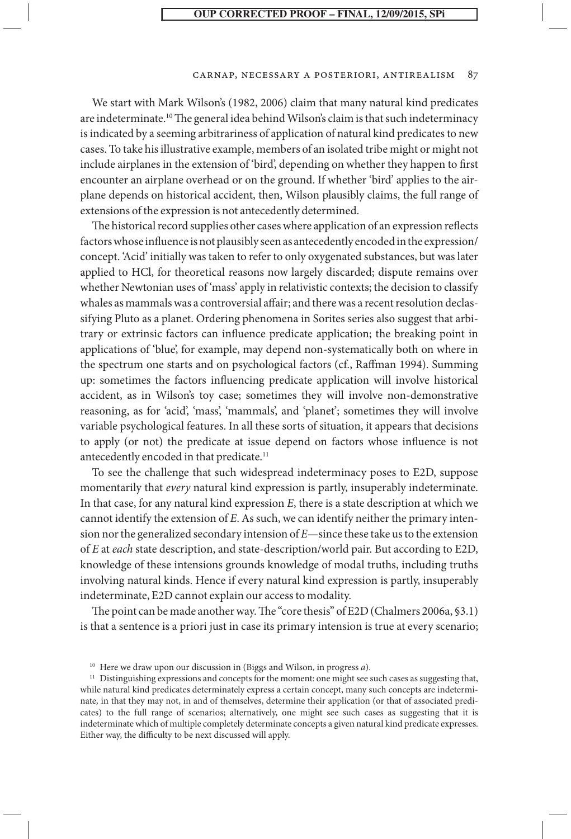We start with Mark Wilson's (1982, 2006) claim that many natural kind predicates are indeterminate.<sup>10</sup> The general idea behind Wilson's claim is that such indeterminacy is indicated by a seeming arbitrariness of application of natural kind predicates to new cases. To take his illustrative example, members of an isolated tribe might or might not include airplanes in the extension of 'bird', depending on whether they happen to first encounter an airplane overhead or on the ground. If whether 'bird' applies to the airplane depends on historical accident, then, Wilson plausibly claims, the full range of extensions of the expression is not antecedently determined.

The historical record supplies other cases where application of an expression reflects factors whose influence is not plausibly seen as antecedently encoded in the expression/ concept. 'Acid' initially was taken to refer to only oxygenated substances, but was later applied to HCl, for theoretical reasons now largely discarded; dispute remains over whether Newtonian uses of 'mass' apply in relativistic contexts; the decision to classify whales as mammals was a controversial affair; and there was a recent resolution declassifying Pluto as a planet. Ordering phenomena in Sorites series also suggest that arbitrary or extrinsic factors can influence predicate application; the breaking point in applications of 'blue', for example, may depend non-systematically both on where in the spectrum one starts and on psychological factors (cf., Raffman 1994). Summing up: sometimes the factors influencing predicate application will involve historical accident, as in Wilson's toy case; sometimes they will involve non-demonstrative reasoning, as for 'acid', 'mass', 'mammals', and 'planet'; sometimes they will involve variable psychological features. In all these sorts of situation, it appears that decisions to apply (or not) the predicate at issue depend on factors whose influence is not antecedently encoded in that predicate.11

To see the challenge that such widespread indeterminacy poses to E2D, suppose momentarily that every natural kind expression is partly, insuperably indeterminate. In that case, for any natural kind expression  $E$ , there is a state description at which we cannot identify the extension of E. As such, we can identify neither the primary intension nor the generalized secondary intension of  $E$ —since these take us to the extension of E at each state description, and state-description/world pair. But according to E2D, knowledge of these intensions grounds knowledge of modal truths, including truths involving natural kinds. Hence if every natural kind expression is partly, insuperably indeterminate, E2D cannot explain our access to modality.

The point can be made another way. The "core thesis" of E2D (Chalmers 2006a, §3.1) is that a sentence is a priori just in case its primary intension is true at every scenario;

<sup>&</sup>lt;sup>10</sup> Here we draw upon our discussion in (Biggs and Wilson, in progress *a*).

<sup>&</sup>lt;sup>11</sup> Distinguishing expressions and concepts for the moment: one might see such cases as suggesting that, while natural kind predicates determinately express a certain concept, many such concepts are indeterminate, in that they may not, in and of themselves, determine their application (or that of associated predicates) to the full range of scenarios; alternatively, one might see such cases as suggesting that it is indeterminate which of multiple completely determinate concepts a given natural kind predicate expresses. Either way, the difficulty to be next discussed will apply.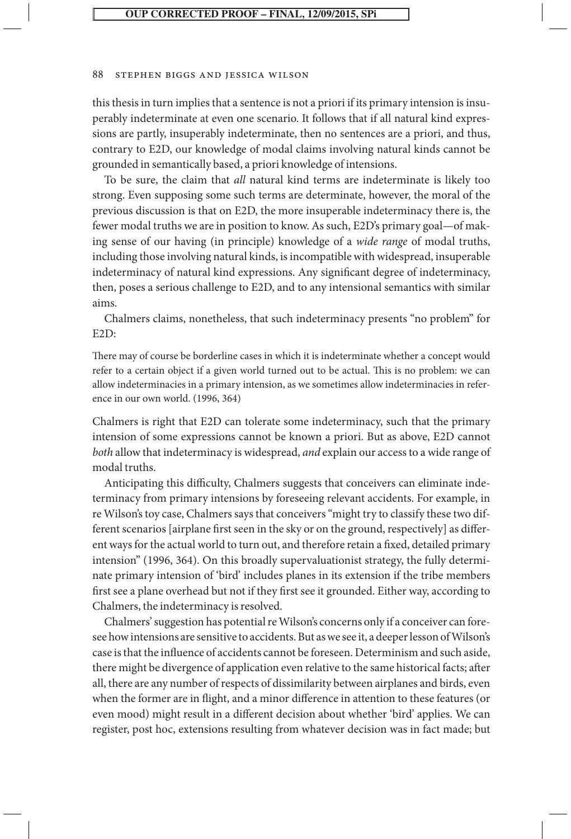this thesis in turn implies that a sentence is not a priori if its primary intension is insuperably indeterminate at even one scenario. It follows that if all natural kind expressions are partly, insuperably indeterminate, then no sentences are a priori, and thus, contrary to E2D, our knowledge of modal claims involving natural kinds cannot be grounded in semantically based, a priori knowledge of intensions.

To be sure, the claim that all natural kind terms are indeterminate is likely too strong. Even supposing some such terms are determinate, however, the moral of the previous discussion is that on E2D, the more insuperable indeterminacy there is, the fewer modal truths we are in position to know. As such, E2D's primary goal—of making sense of our having (in principle) knowledge of a wide range of modal truths, including those involving natural kinds, is incompatible with widespread, insuperable indeterminacy of natural kind expressions. Any significant degree of indeterminacy, then, poses a serious challenge to E2D, and to any intensional semantics with similar aims.

Chalmers claims, nonetheless, that such indeterminacy presents "no problem" for E2D:

There may of course be borderline cases in which it is indeterminate whether a concept would refer to a certain object if a given world turned out to be actual. This is no problem: we can allow indeterminacies in a primary intension, as we sometimes allow indeterminacies in reference in our own world. (1996, 364)

Chalmers is right that E2D can tolerate some indeterminacy, such that the primary intension of some expressions cannot be known a priori. But as above, E2D cannot both allow that indeterminacy is widespread, and explain our access to a wide range of modal truths.

Anticipating this difficulty, Chalmers suggests that conceivers can eliminate indeterminacy from primary intensions by foreseeing relevant accidents. For example, in re Wilson's toy case, Chalmers says that conceivers "might try to classify these two different scenarios [airplane first seen in the sky or on the ground, respectively] as different ways for the actual world to turn out, and therefore retain a fixed, detailed primary intension" (1996, 364). On this broadly supervaluationist strategy, the fully determinate primary intension of 'bird' includes planes in its extension if the tribe members first see a plane overhead but not if they first see it grounded. Either way, according to Chalmers, the indeterminacy is resolved.

Chalmers' suggestion has potential re Wilson's concerns only if a conceiver can foresee how intensions are sensitive to accidents. But as we see it, a deeper lesson of Wilson's case is that the influence of accidents cannot be foreseen. Determinism and such aside, there might be divergence of application even relative to the same historical facts; after all, there are any number of respects of dissimilarity between airplanes and birds, even when the former are in flight, and a minor difference in attention to these features (or even mood) might result in a different decision about whether 'bird' applies. We can register, post hoc, extensions resulting from whatever decision was in fact made; but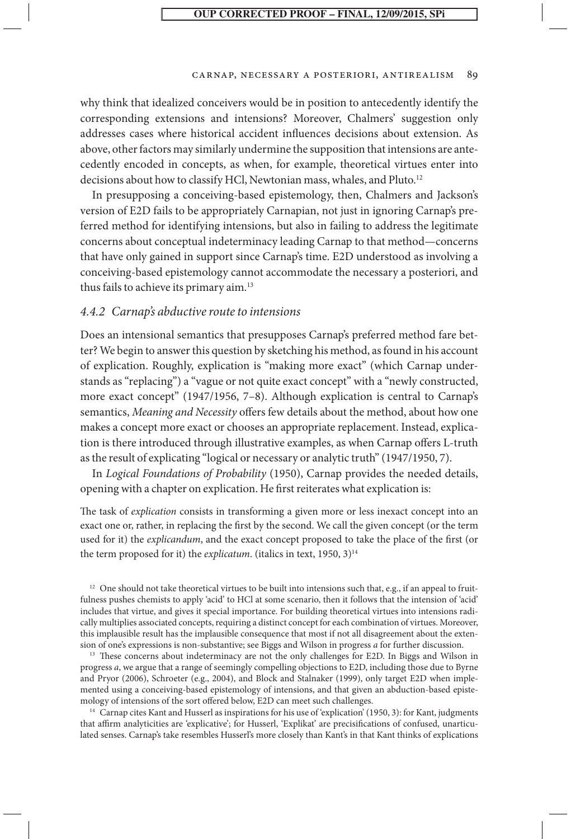why think that idealized conceivers would be in position to antecedently identify the corresponding extensions and intensions? Moreover, Chalmers' suggestion only addresses cases where historical accident influences decisions about extension. As above, other factors may similarly undermine the supposition that intensions are antecedently encoded in concepts, as when, for example, theoretical virtues enter into decisions about how to classify HCl, Newtonian mass, whales, and Pluto.<sup>12</sup>

In presupposing a conceiving-based epistemology, then, Chalmers and Jackson's version of E2D fails to be appropriately Carnapian, not just in ignoring Carnap's preferred method for identifying intensions, but also in failing to address the legitimate concerns about conceptual indeterminacy leading Carnap to that method—concerns that have only gained in support since Carnap's time. E2D understood as involving a conceiving-based epistemology cannot accommodate the necessary a posteriori, and thus fails to achieve its primary aim.13

#### 4.4.2 Carnap's abductive route to intensions

Does an intensional semantics that presupposes Carnap's preferred method fare better? We begin to answer this question by sketching his method, as found in his account of explication. Roughly, explication is "making more exact" (which Carnap understands as "replacing") a "vague or not quite exact concept" with a "newly constructed, more exact concept" (1947/1956, 7–8). Although explication is central to Carnap's semantics, Meaning and Necessity offers few details about the method, about how one makes a concept more exact or chooses an appropriate replacement. Instead, explication is there introduced through illustrative examples, as when Carnap offers L-truth as the result of explicating "logical or necessary or analytic truth" (1947/1950, 7).

In Logical Foundations of Probability (1950), Carnap provides the needed details, opening with a chapter on explication. He first reiterates what explication is:

The task of explication consists in transforming a given more or less inexact concept into an exact one or, rather, in replacing the first by the second. We call the given concept (or the term used for it) the explicandum, and the exact concept proposed to take the place of the first (or the term proposed for it) the *explicatum*. (italics in text, 1950, 3)<sup>14</sup>

 $12$  One should not take theoretical virtues to be built into intensions such that, e.g., if an appeal to fruitfulness pushes chemists to apply 'acid' to HCl at some scenario, then it follows that the intension of 'acid' includes that virtue, and gives it special importance. For building theoretical virtues into intensions radically multiplies associated concepts, requiring a distinct concept for each combination of virtues. Moreover, this implausible result has the implausible consequence that most if not all disagreement about the extension of one's expressions is non-substantive; see Biggs and Wilson in progress a for further discussion.

<sup>13</sup> These concerns about indeterminacy are not the only challenges for E2D. In Biggs and Wilson in progress a, we argue that a range of seemingly compelling objections to E2D, including those due to Byrne and Pryor (2006), Schroeter (e.g., 2004), and Block and Stalnaker (1999), only target E2D when implemented using a conceiving-based epistemology of intensions, and that given an abduction-based epistemology of intensions of the sort offered below, E2D can meet such challenges.

<sup>14</sup> Carnap cites Kant and Husserl as inspirations for his use of 'explication' (1950, 3): for Kant, judgments that affirm analyticities are 'explicative'; for Husserl, 'Explikat' are precisifications of confused, unarticulated senses. Carnap's take resembles Husserl's more closely than Kant's in that Kant thinks of explications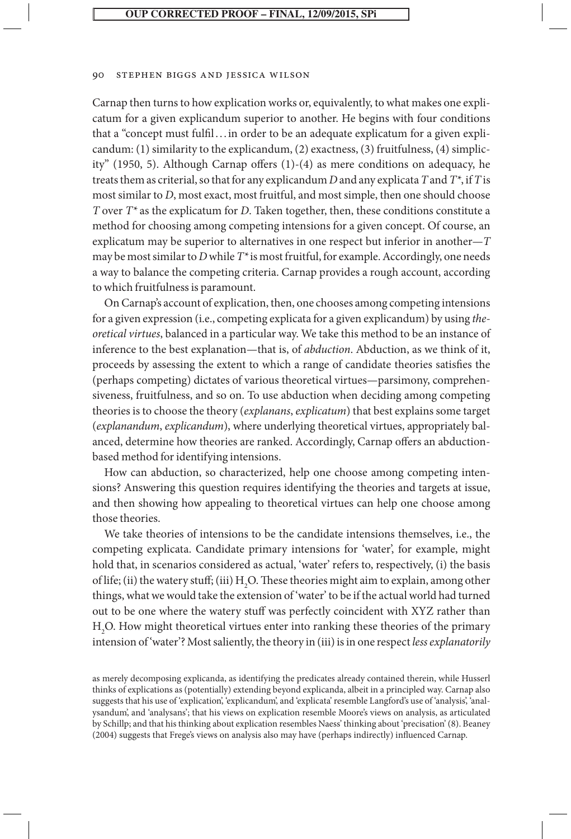Carnap then turns to how explication works or, equivalently, to what makes one explicatum for a given explicandum superior to another. He begins with four conditions that a "concept must fulfil... in order to be an adequate explicatum for a given explicandum: (1) similarity to the explicandum, (2) exactness, (3) fruitfulness, (4) simplicity" (1950, 5). Although Carnap offers (1)-(4) as mere conditions on adequacy, he treats them as criterial, so that for any explicandum  $D$  and any explicata  $T$  and  $T^*$ , if  $T$  is most similar to D, most exact, most fruitful, and most simple, then one should choose T over  $T^*$  as the explicatum for D. Taken together, then, these conditions constitute a method for choosing among competing intensions for a given concept. Of course, an explicatum may be superior to alternatives in one respect but inferior in another— $T$ may be most similar to  $D$  while  $T^*$  is most fruitful, for example. Accordingly, one needs a way to balance the competing criteria. Carnap provides a rough account, according to which fruitfulness is paramount.

On Carnap's account of explication, then, one chooses among competing intensions for a given expression (i.e., competing explicata for a given explicandum) by using theoretical virtues, balanced in a particular way. We take this method to be an instance of inference to the best explanation—that is, of abduction. Abduction, as we think of it, proceeds by assessing the extent to which a range of candidate theories satisfies the (perhaps competing) dictates of various theoretical virtues—parsimony, comprehensiveness, fruitfulness, and so on. To use abduction when deciding among competing theories is to choose the theory (explanans, explicatum) that best explains some target (explanandum, explicandum), where underlying theoretical virtues, appropriately balanced, determine how theories are ranked. Accordingly, Carnap offers an abductionbased method for identifying intensions.

How can abduction, so characterized, help one choose among competing intensions? Answering this question requires identifying the theories and targets at issue, and then showing how appealing to theoretical virtues can help one choose among those theories.

We take theories of intensions to be the candidate intensions themselves, i.e., the competing explicata. Candidate primary intensions for 'water', for example, might hold that, in scenarios considered as actual, 'water' refers to, respectively, (i) the basis of life; (ii) the watery stuff; (iii)  $\rm H_2O$ . These theories might aim to explain, among other things, what we would take the extension of 'water' to be if the actual world had turned out to be one where the watery stuff was perfectly coincident with XYZ rather than H2 O. How might theoretical virtues enter into ranking these theories of the primary intension of 'water'? Most saliently, the theory in (iii) is in one respect less explanatorily

as merely decomposing explicanda, as identifying the predicates already contained therein, while Husserl thinks of explications as (potentially) extending beyond explicanda, albeit in a principled way. Carnap also suggests that his use of 'explication', 'explicandum', and 'explicata' resemble Langford's use of 'analysis', 'analysandum', and 'analysans'; that his views on explication resemble Moore's views on analysis, as articulated by Schillp; and that his thinking about explication resembles Naess' thinking about 'precisation' (8). Beaney (2004) suggests that Frege's views on analysis also may have (perhaps indirectly) influenced Carnap.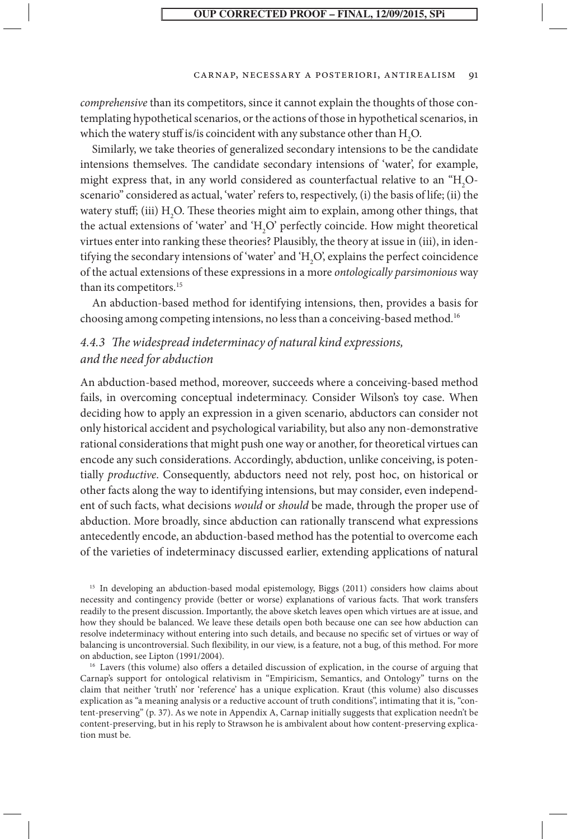comprehensive than its competitors, since it cannot explain the thoughts of those contemplating hypothetical scenarios, or the actions of those in hypothetical scenarios, in which the watery stuff is/is coincident with any substance other than  $\rm H_2O$ .

Similarly, we take theories of generalized secondary intensions to be the candidate intensions themselves. The candidate secondary intensions of 'water', for example, might express that, in any world considered as counterfactual relative to an " $\rm H_2O$ scenario" considered as actual, 'water' refers to, respectively, (i) the basis of life; (ii) the watery stuff; (iii)  $H_2O$ . These theories might aim to explain, among other things, that the actual extensions of 'water' and ' $H_2O$ ' perfectly coincide. How might theoretical virtues enter into ranking these theories? Plausibly, the theory at issue in (iii), in identifying the secondary intensions of 'water' and ' $H_2O$ ', explains the perfect coincidence of the actual extensions of these expressions in a more ontologically parsimonious way than its competitors.15

An abduction-based method for identifying intensions, then, provides a basis for choosing among competing intensions, no less than a conceiving-based method.16

### 4.4.3 The widespread indeterminacy of natural kind expressions, and the need for abduction

An abduction-based method, moreover, succeeds where a conceiving-based method fails, in overcoming conceptual indeterminacy. Consider Wilson's toy case. When deciding how to apply an expression in a given scenario, abductors can consider not only historical accident and psychological variability, but also any non-demonstrative rational considerations that might push one way or another, for theoretical virtues can encode any such considerations. Accordingly, abduction, unlike conceiving, is potentially productive. Consequently, abductors need not rely, post hoc, on historical or other facts along the way to identifying intensions, but may consider, even independent of such facts, what decisions would or should be made, through the proper use of abduction. More broadly, since abduction can rationally transcend what expressions antecedently encode, an abduction-based method has the potential to overcome each of the varieties of indeterminacy discussed earlier, extending applications of natural

<sup>15</sup> In developing an abduction-based modal epistemology, Biggs (2011) considers how claims about necessity and contingency provide (better or worse) explanations of various facts. That work transfers readily to the present discussion. Importantly, the above sketch leaves open which virtues are at issue, and how they should be balanced. We leave these details open both because one can see how abduction can resolve indeterminacy without entering into such details, and because no specific set of virtues or way of balancing is uncontroversial. Such flexibility, in our view, is a feature, not a bug, of this method. For more on abduction, see Lipton (1991/2004).

<sup>16</sup> Lavers (this volume) also offers a detailed discussion of explication, in the course of arguing that Carnap's support for ontological relativism in "Empiricism, Semantics, and Ontology" turns on the claim that neither 'truth' nor 'reference' has a unique explication. Kraut (this volume) also discusses explication as "a meaning analysis or a reductive account of truth conditions", intimating that it is, "content-preserving" (p. 37). As we note in Appendix A, Carnap initially suggests that explication needn't be content-preserving, but in his reply to Strawson he is ambivalent about how content-preserving explication must be.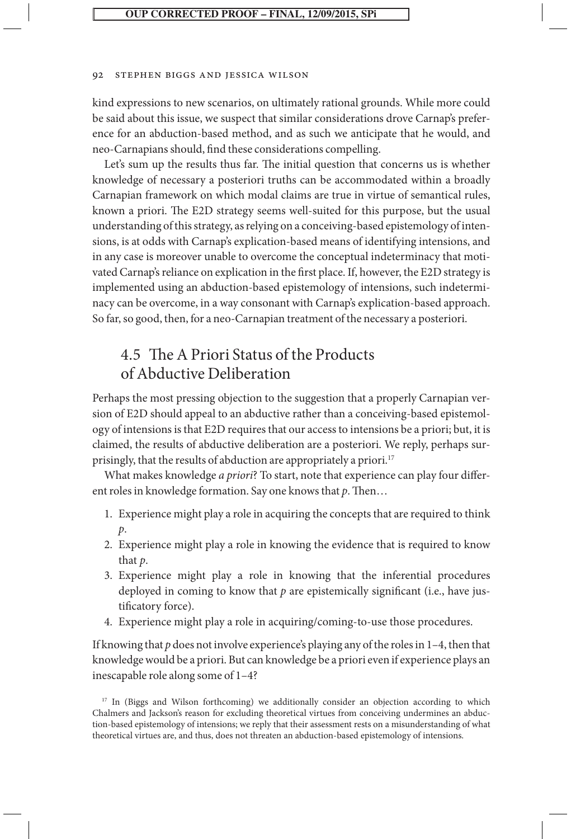kind expressions to new scenarios, on ultimately rational grounds. While more could be said about this issue, we suspect that similar considerations drove Carnap's preference for an abduction-based method, and as such we anticipate that he would, and neo-Carnapians should, find these considerations compelling.

Let's sum up the results thus far. The initial question that concerns us is whether knowledge of necessary a posteriori truths can be accommodated within a broadly Carnapian framework on which modal claims are true in virtue of semantical rules, known a priori. The E2D strategy seems well-suited for this purpose, but the usual understanding of this strategy, as relying on a conceiving-based epistemology of intensions, is at odds with Carnap's explication-based means of identifying intensions, and in any case is moreover unable to overcome the conceptual indeterminacy that motivated Carnap's reliance on explication in the first place. If, however, the E2D strategy is implemented using an abduction-based epistemology of intensions, such indeterminacy can be overcome, in a way consonant with Carnap's explication-based approach. So far, so good, then, for a neo-Carnapian treatment of the necessary a posteriori.

### 4.5 The A Priori Status of the Products of Abductive Deliberation

Perhaps the most pressing objection to the suggestion that a properly Carnapian version of E2D should appeal to an abductive rather than a conceiving-based epistemology of intensions is that E2D requires that our access to intensions be a priori; but, it is claimed, the results of abductive deliberation are a posteriori. We reply, perhaps surprisingly, that the results of abduction are appropriately a priori.<sup>17</sup>

What makes knowledge a priori? To start, note that experience can play four different roles in knowledge formation. Say one knows that  $p$ . Then...

- 1. Experience might play a role in acquiring the concepts that are required to think  $p$ .
- 2. Experience might play a role in knowing the evidence that is required to know that p.
- 3. Experience might play a role in knowing that the inferential procedures deployed in coming to know that  $p$  are epistemically significant (i.e., have justificatory force).
- 4. Experience might play a role in acquiring/coming-to-use those procedures.

If knowing that  $p$  does not involve experience's playing any of the roles in  $1-4$ , then that knowledge would be a priori. But can knowledge be a priori even if experience plays an inescapable role along some of 1–4?

<sup>&</sup>lt;sup>17</sup> In (Biggs and Wilson forthcoming) we additionally consider an objection according to which Chalmers and Jackson's reason for excluding theoretical virtues from conceiving undermines an abduction-based epistemology of intensions; we reply that their assessment rests on a misunderstanding of what theoretical virtues are, and thus, does not threaten an abduction-based epistemology of intensions.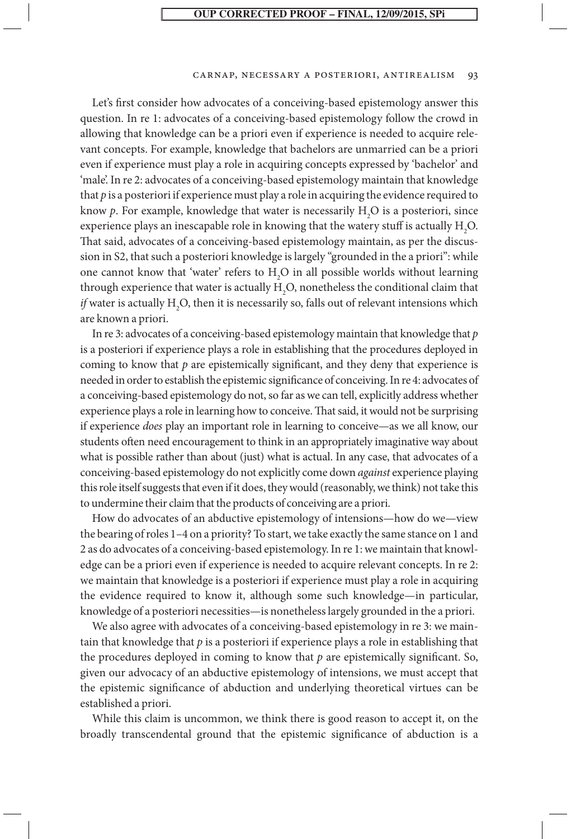Let's first consider how advocates of a conceiving-based epistemology answer this question. In re 1: advocates of a conceiving-based epistemology follow the crowd in allowing that knowledge can be a priori even if experience is needed to acquire relevant concepts. For example, knowledge that bachelors are unmarried can be a priori even if experience must play a role in acquiring concepts expressed by 'bachelor' and 'male'. In re 2: advocates of a conceiving-based epistemology maintain that knowledge that  $p$  is a posteriori if experience must play a role in acquiring the evidence required to know  $p$ . For example, knowledge that water is necessarily  $\mathrm{H}_{2}\mathrm{O}$  is a posteriori, since experience plays an inescapable role in knowing that the watery stuff is actually  $\rm H_2O$ . That said, advocates of a conceiving-based epistemology maintain, as per the discussion in S2, that such a posteriori knowledge is largely "grounded in the a priori": while one cannot know that 'water' refers to  $H_2O$  in all possible worlds without learning through experience that water is actually  $\rm H_2O$ , nonetheless the conditional claim that *if* water is actually  $H_2O$ , then it is necessarily so, falls out of relevant intensions which are known a priori.

In re 3: advocates of a conceiving-based epistemology maintain that knowledge that  $p$ is a posteriori if experience plays a role in establishing that the procedures deployed in coming to know that  $p$  are epistemically significant, and they deny that experience is needed in order to establish the epistemic significance of conceiving. In re 4: advocates of a conceiving-based epistemology do not, so far as we can tell, explicitly address whether experience plays a role in learning how to conceive. That said, it would not be surprising if experience does play an important role in learning to conceive—as we all know, our students often need encouragement to think in an appropriately imaginative way about what is possible rather than about (just) what is actual. In any case, that advocates of a conceiving-based epistemology do not explicitly come down against experience playing this role itself suggests that even if it does, they would (reasonably, we think) not take this to undermine their claim that the products of conceiving are a priori.

How do advocates of an abductive epistemology of intensions—how do we—view the bearing of roles 1–4 on a priority? To start, we take exactly the same stance on 1 and 2 as do advocates of a conceiving-based epistemology. In re 1: we maintain that knowledge can be a priori even if experience is needed to acquire relevant concepts. In re 2: we maintain that knowledge is a posteriori if experience must play a role in acquiring the evidence required to know it, although some such knowledge—in particular, knowledge of a posteriori necessities—is nonetheless largely grounded in the a priori.

We also agree with advocates of a conceiving-based epistemology in re 3: we maintain that knowledge that  $p$  is a posteriori if experience plays a role in establishing that the procedures deployed in coming to know that  $p$  are epistemically significant. So, given our advocacy of an abductive epistemology of intensions, we must accept that the epistemic significance of abduction and underlying theoretical virtues can be established a priori.

While this claim is uncommon, we think there is good reason to accept it, on the broadly transcendental ground that the epistemic significance of abduction is a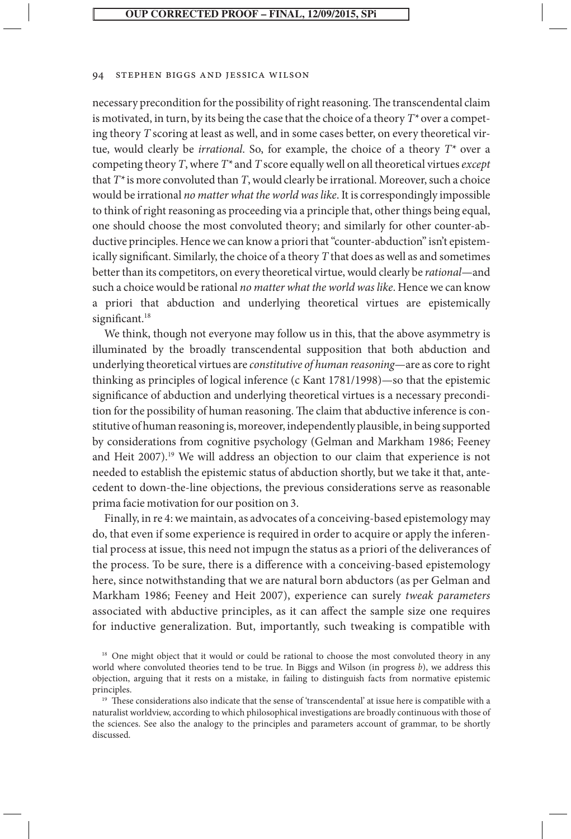necessary precondition for the possibility of right reasoning. The transcendental claim is motivated, in turn, by its being the case that the choice of a theory  $T^*$  over a competing theory T scoring at least as well, and in some cases better, on every theoretical virtue, would clearly be *irrational*. So, for example, the choice of a theory  $T^*$  over a competing theory  $T$ , where  $T^*$  and  $T$  score equally well on all theoretical virtues *except* that  $T^*$  is more convoluted than  $T$ , would clearly be irrational. Moreover, such a choice would be irrational no matter what the world was like. It is correspondingly impossible to think of right reasoning as proceeding via a principle that, other things being equal, one should choose the most convoluted theory; and similarly for other counter-abductive principles. Hence we can know a priori that "counter-abduction" isn't epistemically significant. Similarly, the choice of a theory  $T$  that does as well as and sometimes better than its competitors, on every theoretical virtue, would clearly be rational—and such a choice would be rational no matter what the world was like. Hence we can know a priori that abduction and underlying theoretical virtues are epistemically significant.<sup>18</sup>

We think, though not everyone may follow us in this, that the above asymmetry is illuminated by the broadly transcendental supposition that both abduction and underlying theoretical virtues are constitutive of human reasoning—are as core to right thinking as principles of logical inference (c Kant 1781/1998)—so that the epistemic significance of abduction and underlying theoretical virtues is a necessary precondition for the possibility of human reasoning. The claim that abductive inference is constitutive of human reasoning is, moreover, independently plausible, in being supported by considerations from cognitive psychology (Gelman and Markham 1986; Feeney and Heit 2007).19 We will address an objection to our claim that experience is not needed to establish the epistemic status of abduction shortly, but we take it that, antecedent to down-the-line objections, the previous considerations serve as reasonable prima facie motivation for our position on 3.

Finally, in re 4: we maintain, as advocates of a conceiving-based epistemology may do, that even if some experience is required in order to acquire or apply the inferential process at issue, this need not impugn the status as a priori of the deliverances of the process. To be sure, there is a difference with a conceiving-based epistemology here, since notwithstanding that we are natural born abductors (as per Gelman and Markham 1986; Feeney and Heit 2007), experience can surely tweak parameters associated with abductive principles, as it can affect the sample size one requires for inductive generalization. But, importantly, such tweaking is compatible with

<sup>18</sup> One might object that it would or could be rational to choose the most convoluted theory in any world where convoluted theories tend to be true. In Biggs and Wilson (in progress b), we address this objection, arguing that it rests on a mistake, in failing to distinguish facts from normative epistemic principles.

<sup>19</sup> These considerations also indicate that the sense of 'transcendental' at issue here is compatible with a naturalist worldview, according to which philosophical investigations are broadly continuous with those of the sciences. See also the analogy to the principles and parameters account of grammar, to be shortly discussed.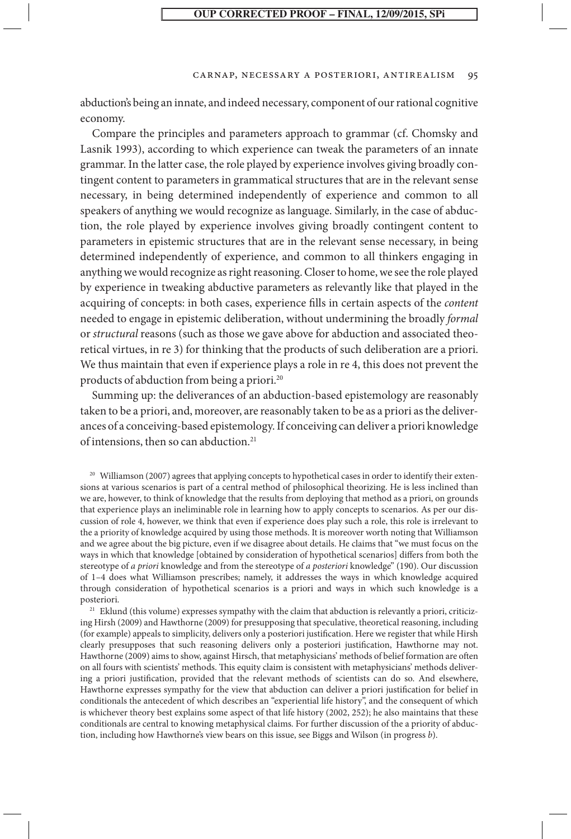abduction's being an innate, and indeed necessary, component of our rational cognitive economy.

Compare the principles and parameters approach to grammar (cf. Chomsky and Lasnik 1993), according to which experience can tweak the parameters of an innate grammar. In the latter case, the role played by experience involves giving broadly contingent content to parameters in grammatical structures that are in the relevant sense necessary, in being determined independently of experience and common to all speakers of anything we would recognize as language. Similarly, in the case of abduction, the role played by experience involves giving broadly contingent content to parameters in epistemic structures that are in the relevant sense necessary, in being determined independently of experience, and common to all thinkers engaging in anything we would recognize as right reasoning. Closer to home, we see the role played by experience in tweaking abductive parameters as relevantly like that played in the acquiring of concepts: in both cases, experience fills in certain aspects of the content needed to engage in epistemic deliberation, without undermining the broadly formal or structural reasons (such as those we gave above for abduction and associated theoretical virtues, in re 3) for thinking that the products of such deliberation are a priori. We thus maintain that even if experience plays a role in re 4, this does not prevent the products of abduction from being a priori.20

Summing up: the deliverances of an abduction-based epistemology are reasonably taken to be a priori, and, moreover, are reasonably taken to be as a priori as the deliverances of a conceiving-based epistemology. If conceiving can deliver a priori knowledge of intensions, then so can abduction.21

<sup>20</sup> Williamson (2007) agrees that applying concepts to hypothetical cases in order to identify their extensions at various scenarios is part of a central method of philosophical theorizing. He is less inclined than we are, however, to think of knowledge that the results from deploying that method as a priori, on grounds that experience plays an ineliminable role in learning how to apply concepts to scenarios. As per our discussion of role 4, however, we think that even if experience does play such a role, this role is irrelevant to the a priority of knowledge acquired by using those methods. It is moreover worth noting that Williamson and we agree about the big picture, even if we disagree about details. He claims that "we must focus on the ways in which that knowledge [obtained by consideration of hypothetical scenarios] differs from both the stereotype of a priori knowledge and from the stereotype of a posteriori knowledge" (190). Our discussion of 1–4 does what Williamson prescribes; namely, it addresses the ways in which knowledge acquired through consideration of hypothetical scenarios is a priori and ways in which such knowledge is a posteriori.

<sup>21</sup> Eklund (this volume) expresses sympathy with the claim that abduction is relevantly a priori, criticizing Hirsh (2009) and Hawthorne (2009) for presupposing that speculative, theoretical reasoning, including (for example) appeals to simplicity, delivers only a posteriori justification. Here we register that while Hirsh clearly presupposes that such reasoning delivers only a posteriori justification, Hawthorne may not. Hawthorne (2009) aims to show, against Hirsch, that metaphysicians' methods of belief formation are often on all fours with scientists' methods. This equity claim is consistent with metaphysicians' methods delivering a priori justification, provided that the relevant methods of scientists can do so. And elsewhere, Hawthorne expresses sympathy for the view that abduction can deliver a priori justification for belief in conditionals the antecedent of which describes an "experiential life history", and the consequent of which is whichever theory best explains some aspect of that life history (2002, 252); he also maintains that these conditionals are central to knowing metaphysical claims. For further discussion of the a priority of abduction, including how Hawthorne's view bears on this issue, see Biggs and Wilson (in progress b).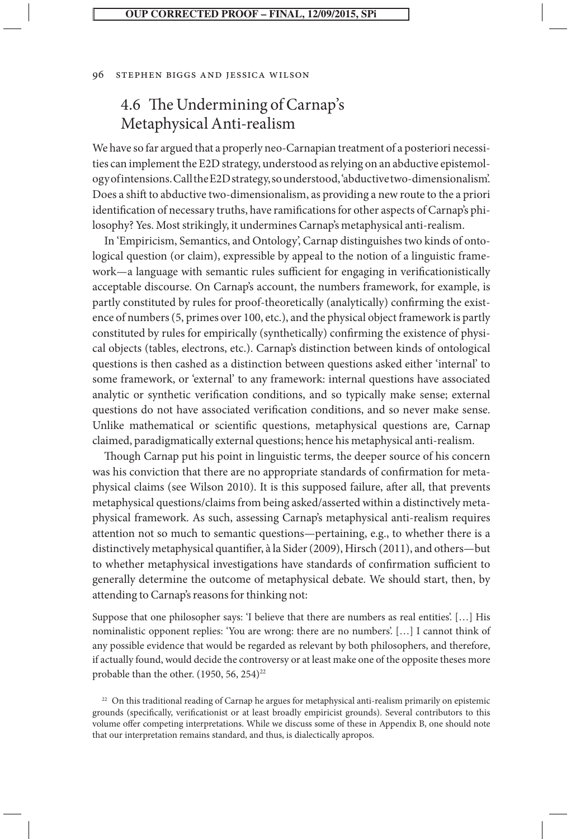# 4.6 The Undermining of Carnap's Metaphysical Anti-realism

We have so far argued that a properly neo-Carnapian treatment of a posteriori necessities can implement the E2D strategy, understood as relying on an abductive epistemology of intensions. Call the E2D strategy, so understood, 'abductive two-dimensionalism'. Does a shift to abductive two-dimensionalism, as providing a new route to the a priori identification of necessary truths, have ramifications for other aspects of Carnap's philosophy? Yes. Most strikingly, it undermines Carnap's metaphysical anti-realism.

In 'Empiricism, Semantics, and Ontology', Carnap distinguishes two kinds of ontological question (or claim), expressible by appeal to the notion of a linguistic framework—a language with semantic rules sufficient for engaging in verificationistically acceptable discourse. On Carnap's account, the numbers framework, for example, is partly constituted by rules for proof-theoretically (analytically) confirming the existence of numbers (5, primes over 100, etc.), and the physical object framework is partly constituted by rules for empirically (synthetically) confirming the existence of physical objects (tables, electrons, etc.). Carnap's distinction between kinds of ontological questions is then cashed as a distinction between questions asked either 'internal' to some framework, or 'external' to any framework: internal questions have associated analytic or synthetic verification conditions, and so typically make sense; external questions do not have associated verification conditions, and so never make sense. Unlike mathematical or scientific questions, metaphysical questions are, Carnap claimed, paradigmatically external questions; hence his metaphysical anti-realism.

Though Carnap put his point in linguistic terms, the deeper source of his concern was his conviction that there are no appropriate standards of confirmation for metaphysical claims (see Wilson 2010). It is this supposed failure, after all, that prevents metaphysical questions/claims from being asked/asserted within a distinctively metaphysical framework. As such, assessing Carnap's metaphysical anti-realism requires attention not so much to semantic questions—pertaining, e.g., to whether there is a distinctively metaphysical quantifier, à la Sider (2009), Hirsch (2011), and others—but to whether metaphysical investigations have standards of confirmation sufficient to generally determine the outcome of metaphysical debate. We should start, then, by attending to Carnap's reasons for thinking not:

Suppose that one philosopher says: 'I believe that there are numbers as real entities'. […] His nominalistic opponent replies: 'You are wrong: there are no numbers'. […] I cannot think of any possible evidence that would be regarded as relevant by both philosophers, and therefore, if actually found, would decide the controversy or at least make one of the opposite theses more probable than the other. (1950, 56, 254)<sup>22</sup>

<sup>&</sup>lt;sup>22</sup> On this traditional reading of Carnap he argues for metaphysical anti-realism primarily on epistemic grounds (specifically, verificationist or at least broadly empiricist grounds). Several contributors to this volume offer competing interpretations. While we discuss some of these in Appendix B, one should note that our interpretation remains standard, and thus, is dialectically apropos.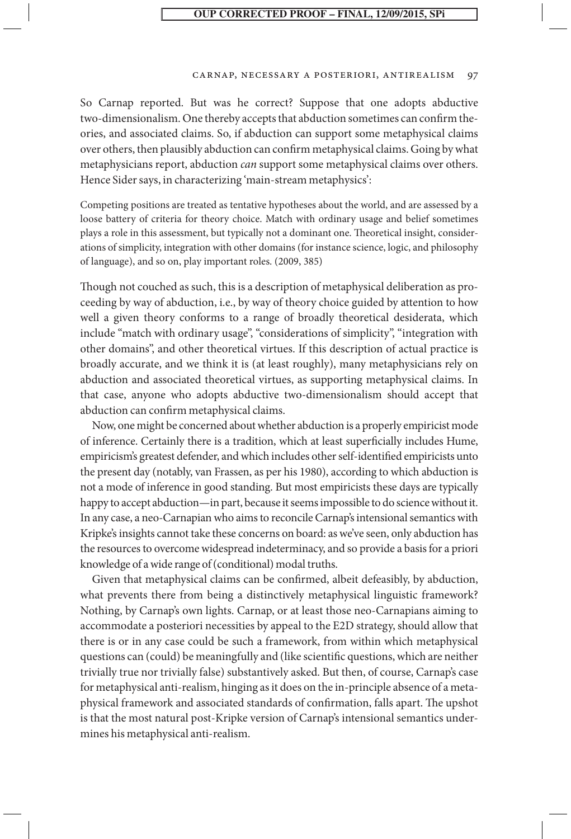So Carnap reported. But was he correct? Suppose that one adopts abductive two-dimensionalism. One thereby accepts that abduction sometimes can confirm theories, and associated claims. So, if abduction can support some metaphysical claims over others, then plausibly abduction can confirm metaphysical claims. Going by what metaphysicians report, abduction can support some metaphysical claims over others. Hence Sider says, in characterizing 'main-stream metaphysics':

Competing positions are treated as tentative hypotheses about the world, and are assessed by a loose battery of criteria for theory choice. Match with ordinary usage and belief sometimes plays a role in this assessment, but typically not a dominant one. Theoretical insight, considerations of simplicity, integration with other domains (for instance science, logic, and philosophy of language), and so on, play important roles. (2009, 385)

Though not couched as such, this is a description of metaphysical deliberation as proceeding by way of abduction, i.e., by way of theory choice guided by attention to how well a given theory conforms to a range of broadly theoretical desiderata, which include "match with ordinary usage", "considerations of simplicity", "integration with other domains", and other theoretical virtues. If this description of actual practice is broadly accurate, and we think it is (at least roughly), many metaphysicians rely on abduction and associated theoretical virtues, as supporting metaphysical claims. In that case, anyone who adopts abductive two-dimensionalism should accept that abduction can confirm metaphysical claims.

Now, one might be concerned about whether abduction is a properly empiricist mode of inference. Certainly there is a tradition, which at least superficially includes Hume, empiricism's greatest defender, and which includes other self-identified empiricists unto the present day (notably, van Frassen, as per his 1980), according to which abduction is not a mode of inference in good standing. But most empiricists these days are typically happy to accept abduction—in part, because it seems impossible to do science without it. In any case, a neo-Carnapian who aims to reconcile Carnap's intensional semantics with Kripke's insights cannot take these concerns on board: as we've seen, only abduction has the resources to overcome widespread indeterminacy, and so provide a basis for a priori knowledge of a wide range of (conditional) modal truths.

Given that metaphysical claims can be confirmed, albeit defeasibly, by abduction, what prevents there from being a distinctively metaphysical linguistic framework? Nothing, by Carnap's own lights. Carnap, or at least those neo-Carnapians aiming to accommodate a posteriori necessities by appeal to the E2D strategy, should allow that there is or in any case could be such a framework, from within which metaphysical questions can (could) be meaningfully and (like scientific questions, which are neither trivially true nor trivially false) substantively asked. But then, of course, Carnap's case for metaphysical anti-realism, hinging as it does on the in-principle absence of a metaphysical framework and associated standards of confirmation, falls apart. The upshot is that the most natural post-Kripke version of Carnap's intensional semantics undermines his metaphysical anti-realism.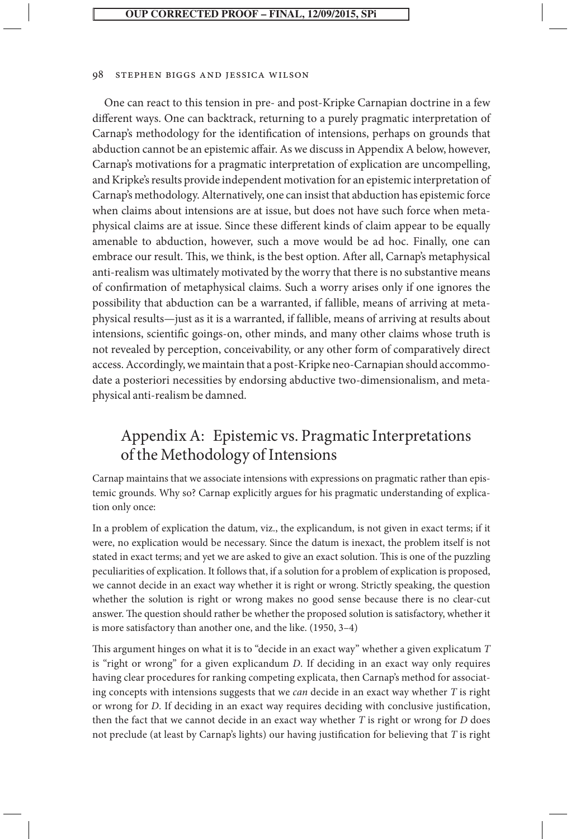One can react to this tension in pre- and post-Kripke Carnapian doctrine in a few different ways. One can backtrack, returning to a purely pragmatic interpretation of Carnap's methodology for the identification of intensions, perhaps on grounds that abduction cannot be an epistemic affair. As we discuss in Appendix A below, however, Carnap's motivations for a pragmatic interpretation of explication are uncompelling, and Kripke's results provide independent motivation for an epistemic interpretation of Carnap's methodology. Alternatively, one can insist that abduction has epistemic force when claims about intensions are at issue, but does not have such force when metaphysical claims are at issue. Since these different kinds of claim appear to be equally amenable to abduction, however, such a move would be ad hoc. Finally, one can embrace our result. This, we think, is the best option. After all, Carnap's metaphysical anti-realism was ultimately motivated by the worry that there is no substantive means of confirmation of metaphysical claims. Such a worry arises only if one ignores the possibility that abduction can be a warranted, if fallible, means of arriving at metaphysical results—just as it is a warranted, if fallible, means of arriving at results about intensions, scientific goings-on, other minds, and many other claims whose truth is not revealed by perception, conceivability, or any other form of comparatively direct access. Accordingly, we maintain that a post-Kripke neo-Carnapian should accommodate a posteriori necessities by endorsing abductive two-dimensionalism, and metaphysical anti-realism be damned.

### Appendix A: Epistemic vs. Pragmatic Interpretations of the Methodology of Intensions

Carnap maintains that we associate intensions with expressions on pragmatic rather than epistemic grounds. Why so? Carnap explicitly argues for his pragmatic understanding of explication only once:

In a problem of explication the datum, viz., the explicandum, is not given in exact terms; if it were, no explication would be necessary. Since the datum is inexact, the problem itself is not stated in exact terms; and yet we are asked to give an exact solution. This is one of the puzzling peculiarities of explication. It follows that, if a solution for a problem of explication is proposed, we cannot decide in an exact way whether it is right or wrong. Strictly speaking, the question whether the solution is right or wrong makes no good sense because there is no clear-cut answer. The question should rather be whether the proposed solution is satisfactory, whether it is more satisfactory than another one, and the like. (1950, 3–4)

This argument hinges on what it is to "decide in an exact way" whether a given explicatum  $T$ is "right or wrong" for a given explicandum D. If deciding in an exact way only requires having clear procedures for ranking competing explicata, then Carnap's method for associating concepts with intensions suggests that we *can* decide in an exact way whether  $T$  is right or wrong for D. If deciding in an exact way requires deciding with conclusive justification, then the fact that we cannot decide in an exact way whether  $T$  is right or wrong for  $D$  does not preclude (at least by Carnap's lights) our having justification for believing that  $T$  is right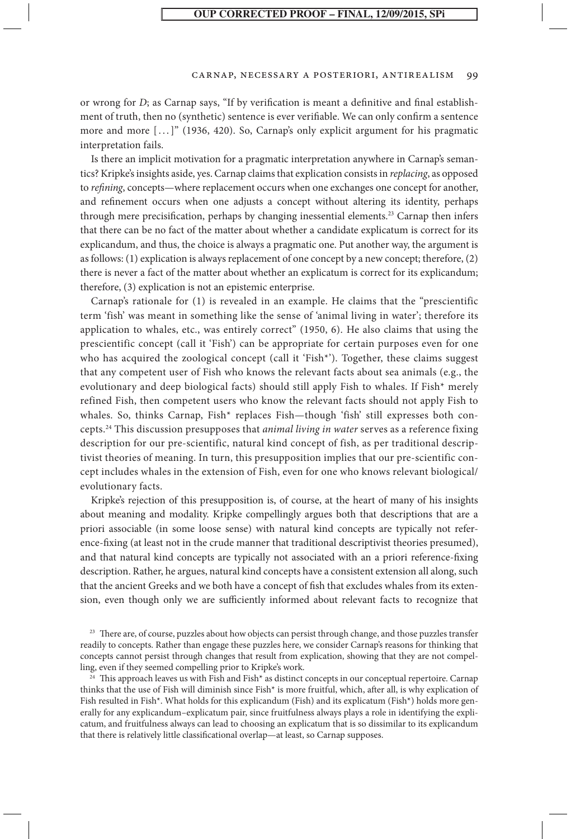or wrong for  $D$ ; as Carnap says, "If by verification is meant a definitive and final establishment of truth, then no (synthetic) sentence is ever verifiable. We can only confirm a sentence more and more [. . .]" (1936, 420). So, Carnap's only explicit argument for his pragmatic interpretation fails.

Is there an implicit motivation for a pragmatic interpretation anywhere in Carnap's semantics? Kripke's insights aside, yes. Carnap claims that explication consists in replacing, as opposed to refining, concepts—where replacement occurs when one exchanges one concept for another, and refinement occurs when one adjusts a concept without altering its identity, perhaps through mere precisification, perhaps by changing inessential elements.<sup>23</sup> Carnap then infers that there can be no fact of the matter about whether a candidate explicatum is correct for its explicandum, and thus, the choice is always a pragmatic one. Put another way, the argument is as follows: (1) explication is always replacement of one concept by a new concept; therefore, (2) there is never a fact of the matter about whether an explicatum is correct for its explicandum; therefore, (3) explication is not an epistemic enterprise.

Carnap's rationale for (1) is revealed in an example. He claims that the "prescientific term 'fish' was meant in something like the sense of 'animal living in water'; therefore its application to whales, etc., was entirely correct" (1950, 6). He also claims that using the prescientific concept (call it 'Fish') can be appropriate for certain purposes even for one who has acquired the zoological concept (call it 'Fish<sup>\*</sup>'). Together, these claims suggest that any competent user of Fish who knows the relevant facts about sea animals (e.g., the evolutionary and deep biological facts) should still apply Fish to whales. If Fish\* merely refined Fish, then competent users who know the relevant facts should not apply Fish to whales. So, thinks Carnap, Fish\* replaces Fish—though 'fish' still expresses both concepts.<sup>24</sup> This discussion presupposes that *animal living in water serves* as a reference fixing description for our pre-scientific, natural kind concept of fish, as per traditional descriptivist theories of meaning. In turn, this presupposition implies that our pre-scientific concept includes whales in the extension of Fish, even for one who knows relevant biological/ evolutionary facts.

Kripke's rejection of this presupposition is, of course, at the heart of many of his insights about meaning and modality. Kripke compellingly argues both that descriptions that are a priori associable (in some loose sense) with natural kind concepts are typically not reference-fixing (at least not in the crude manner that traditional descriptivist theories presumed), and that natural kind concepts are typically not associated with an a priori reference-fixing description. Rather, he argues, natural kind concepts have a consistent extension all along, such that the ancient Greeks and we both have a concept of fish that excludes whales from its extension, even though only we are sufficiently informed about relevant facts to recognize that

<sup>23</sup> There are, of course, puzzles about how objects can persist through change, and those puzzles transfer readily to concepts. Rather than engage these puzzles here, we consider Carnap's reasons for thinking that concepts cannot persist through changes that result from explication, showing that they are not compelling, even if they seemed compelling prior to Kripke's work.

<sup>24</sup> This approach leaves us with Fish and Fish\* as distinct concepts in our conceptual repertoire. Carnap thinks that the use of Fish will diminish since Fish\* is more fruitful, which, after all, is why explication of Fish resulted in Fish\*. What holds for this explicandum (Fish) and its explicatum (Fish\*) holds more generally for any explicandum–explicatum pair, since fruitfulness always plays a role in identifying the explicatum, and fruitfulness always can lead to choosing an explicatum that is so dissimilar to its explicandum that there is relatively little classificational overlap—at least, so Carnap supposes.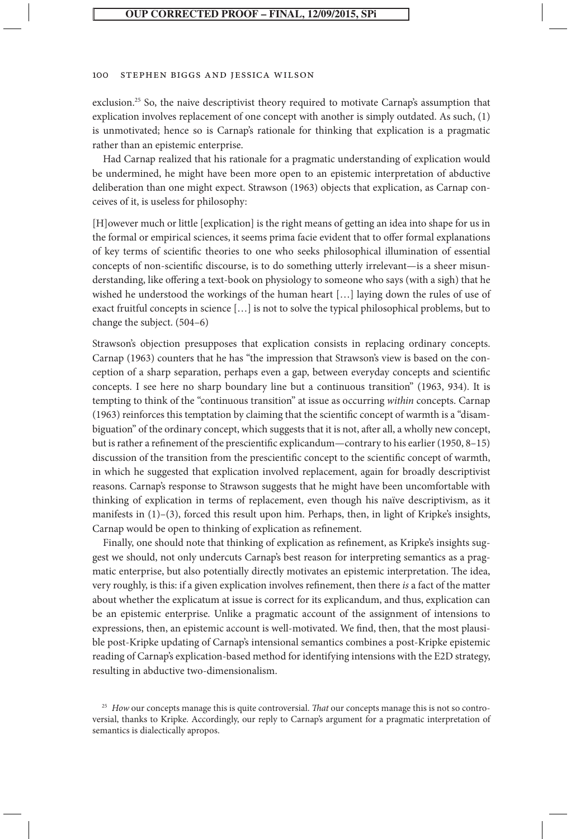exclusion.25 So, the naive descriptivist theory required to motivate Carnap's assumption that explication involves replacement of one concept with another is simply outdated. As such, (1) is unmotivated; hence so is Carnap's rationale for thinking that explication is a pragmatic rather than an epistemic enterprise.

Had Carnap realized that his rationale for a pragmatic understanding of explication would be undermined, he might have been more open to an epistemic interpretation of abductive deliberation than one might expect. Strawson (1963) objects that explication, as Carnap conceives of it, is useless for philosophy:

[H]owever much or little [explication] is the right means of getting an idea into shape for us in the formal or empirical sciences, it seems prima facie evident that to offer formal explanations of key terms of scientific theories to one who seeks philosophical illumination of essential concepts of non-scientific discourse, is to do something utterly irrelevant—is a sheer misunderstanding, like offering a text-book on physiology to someone who says (with a sigh) that he wished he understood the workings of the human heart […] laying down the rules of use of exact fruitful concepts in science […] is not to solve the typical philosophical problems, but to change the subject. (504–6)

Strawson's objection presupposes that explication consists in replacing ordinary concepts. Carnap (1963) counters that he has "the impression that Strawson's view is based on the conception of a sharp separation, perhaps even a gap, between everyday concepts and scientific concepts. I see here no sharp boundary line but a continuous transition" (1963, 934). It is tempting to think of the "continuous transition" at issue as occurring within concepts. Carnap (1963) reinforces this temptation by claiming that the scientific concept of warmth is a "disambiguation" of the ordinary concept, which suggests that it is not, after all, a wholly new concept, but is rather a refinement of the prescientific explicandum—contrary to his earlier (1950, 8–15) discussion of the transition from the prescientific concept to the scientific concept of warmth, in which he suggested that explication involved replacement, again for broadly descriptivist reasons. Carnap's response to Strawson suggests that he might have been uncomfortable with thinking of explication in terms of replacement, even though his naïve descriptivism, as it manifests in (1)–(3), forced this result upon him. Perhaps, then, in light of Kripke's insights, Carnap would be open to thinking of explication as refinement.

Finally, one should note that thinking of explication as refinement, as Kripke's insights suggest we should, not only undercuts Carnap's best reason for interpreting semantics as a pragmatic enterprise, but also potentially directly motivates an epistemic interpretation. The idea, very roughly, is this: if a given explication involves refinement, then there is a fact of the matter about whether the explicatum at issue is correct for its explicandum, and thus, explication can be an epistemic enterprise. Unlike a pragmatic account of the assignment of intensions to expressions, then, an epistemic account is well-motivated. We find, then, that the most plausible post-Kripke updating of Carnap's intensional semantics combines a post-Kripke epistemic reading of Carnap's explication-based method for identifying intensions with the E2D strategy, resulting in abductive two-dimensionalism.

 $25$  How our concepts manage this is quite controversial. That our concepts manage this is not so controversial, thanks to Kripke. Accordingly, our reply to Carnap's argument for a pragmatic interpretation of semantics is dialectically apropos.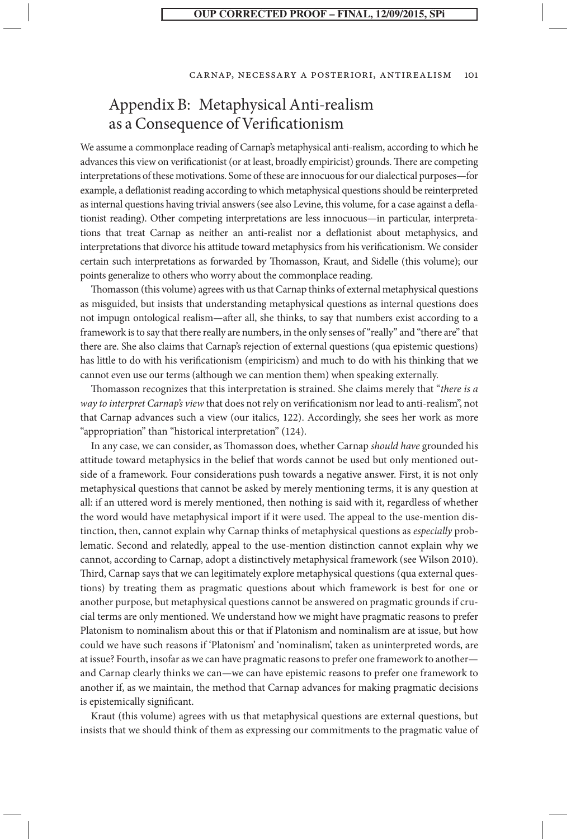### Appendix B: Metaphysical Anti-realism as a Consequence of Verificationism

We assume a commonplace reading of Carnap's metaphysical anti-realism, according to which he advances this view on verificationist (or at least, broadly empiricist) grounds. There are competing interpretations of these motivations. Some of these are innocuous for our dialectical purposes—for example, a deflationist reading according to which metaphysical questions should be reinterpreted as internal questions having trivial answers (see also Levine, this volume, for a case against a deflationist reading). Other competing interpretations are less innocuous—in particular, interpretations that treat Carnap as neither an anti-realist nor a deflationist about metaphysics, and interpretations that divorce his attitude toward metaphysics from his verificationism. We consider certain such interpretations as forwarded by Thomasson, Kraut, and Sidelle (this volume); our points generalize to others who worry about the commonplace reading.

Thomasson (this volume) agrees with us that Carnap thinks of external metaphysical questions as misguided, but insists that understanding metaphysical questions as internal questions does not impugn ontological realism—after all, she thinks, to say that numbers exist according to a framework is to say that there really are numbers, in the only senses of "really" and "there are" that there are. She also claims that Carnap's rejection of external questions (qua epistemic questions) has little to do with his verificationism (empiricism) and much to do with his thinking that we cannot even use our terms (although we can mention them) when speaking externally.

Thomasson recognizes that this interpretation is strained. She claims merely that "there is a way to interpret Carnap's view that does not rely on verificationism nor lead to anti-realism", not that Carnap advances such a view (our italics, 122). Accordingly, she sees her work as more "appropriation" than "historical interpretation" (124).

In any case, we can consider, as Thomasson does, whether Carnap should have grounded his attitude toward metaphysics in the belief that words cannot be used but only mentioned outside of a framework. Four considerations push towards a negative answer. First, it is not only metaphysical questions that cannot be asked by merely mentioning terms, it is any question at all: if an uttered word is merely mentioned, then nothing is said with it, regardless of whether the word would have metaphysical import if it were used. The appeal to the use-mention distinction, then, cannot explain why Carnap thinks of metaphysical questions as especially problematic. Second and relatedly, appeal to the use-mention distinction cannot explain why we cannot, according to Carnap, adopt a distinctively metaphysical framework (see Wilson 2010). Third, Carnap says that we can legitimately explore metaphysical questions (qua external questions) by treating them as pragmatic questions about which framework is best for one or another purpose, but metaphysical questions cannot be answered on pragmatic grounds if crucial terms are only mentioned. We understand how we might have pragmatic reasons to prefer Platonism to nominalism about this or that if Platonism and nominalism are at issue, but how could we have such reasons if 'Platonism' and 'nominalism', taken as uninterpreted words, are at issue? Fourth, insofar as we can have pragmatic reasons to prefer one framework to another and Carnap clearly thinks we can—we can have epistemic reasons to prefer one framework to another if, as we maintain, the method that Carnap advances for making pragmatic decisions is epistemically significant.

Kraut (this volume) agrees with us that metaphysical questions are external questions, but insists that we should think of them as expressing our commitments to the pragmatic value of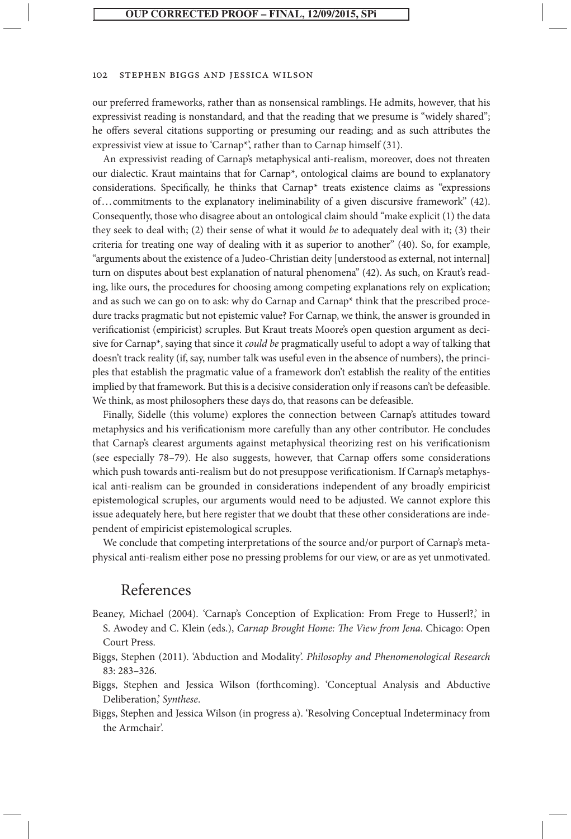our preferred frameworks, rather than as nonsensical ramblings. He admits, however, that his expressivist reading is nonstandard, and that the reading that we presume is "widely shared"; he offers several citations supporting or presuming our reading; and as such attributes the expressivist view at issue to 'Carnap\*', rather than to Carnap himself (31).

An expressivist reading of Carnap's metaphysical anti-realism, moreover, does not threaten our dialectic. Kraut maintains that for Carnap\*, ontological claims are bound to explanatory considerations. Specifically, he thinks that Carnap\* treats existence claims as "expressions of. . . commitments to the explanatory ineliminability of a given discursive framework" (42). Consequently, those who disagree about an ontological claim should "make explicit (1) the data they seek to deal with; (2) their sense of what it would be to adequately deal with it; (3) their criteria for treating one way of dealing with it as superior to another" (40). So, for example, "arguments about the existence of a Judeo-Christian deity [understood as external, not internal] turn on disputes about best explanation of natural phenomena" (42). As such, on Kraut's reading, like ours, the procedures for choosing among competing explanations rely on explication; and as such we can go on to ask: why do Carnap and Carnap\* think that the prescribed procedure tracks pragmatic but not epistemic value? For Carnap, we think, the answer is grounded in verificationist (empiricist) scruples. But Kraut treats Moore's open question argument as decisive for Carnap\*, saying that since it *could be* pragmatically useful to adopt a way of talking that doesn't track reality (if, say, number talk was useful even in the absence of numbers), the principles that establish the pragmatic value of a framework don't establish the reality of the entities implied by that framework. But this is a decisive consideration only if reasons can't be defeasible. We think, as most philosophers these days do, that reasons can be defeasible.

Finally, Sidelle (this volume) explores the connection between Carnap's attitudes toward metaphysics and his verificationism more carefully than any other contributor. He concludes that Carnap's clearest arguments against metaphysical theorizing rest on his verificationism (see especially  $78-79$ ). He also suggests, however, that Carnap offers some considerations which push towards anti-realism but do not presuppose verificationism. If Carnap's metaphysical anti-realism can be grounded in considerations independent of any broadly empiricist epistemological scruples, our arguments would need to be adjusted. We cannot explore this issue adequately here, but here register that we doubt that these other considerations are independent of empiricist epistemological scruples.

We conclude that competing interpretations of the source and/or purport of Carnap's metaphysical anti-realism either pose no pressing problems for our view, or are as yet unmotivated.

### References

- Beaney, Michael (2004). 'Carnap's Conception of Explication: From Frege to Husserl?,' in S. Awodey and C. Klein (eds.), Carnap Brought Home: The View from Jena. Chicago: Open Court Press.
- Biggs, Stephen (2011). 'Abduction and Modality'. Philosophy and Phenomenological Research 83: 283–326.
- Biggs, Stephen and Jessica Wilson (forthcoming). 'Conceptual Analysis and Abductive Deliberation,' Synthese.
- Biggs, Stephen and Jessica Wilson (in progress a). 'Resolving Conceptual Indeterminacy from the Armchair'.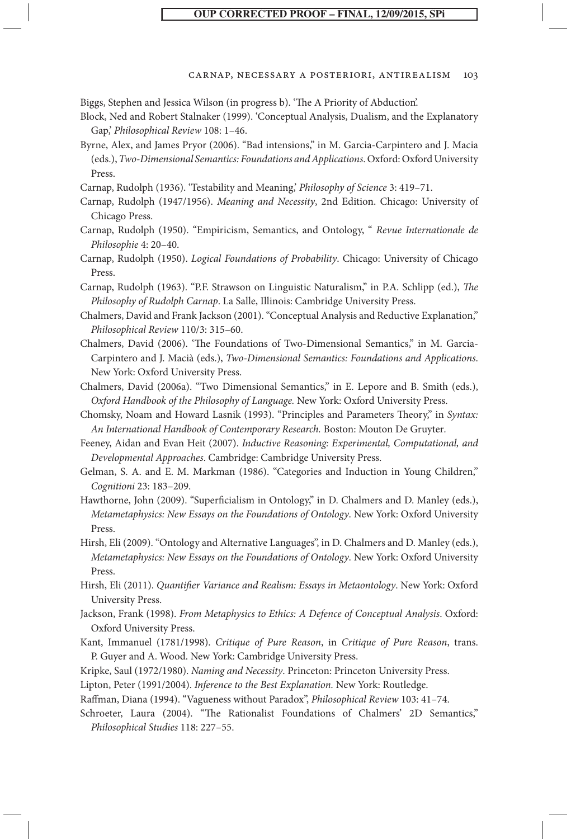Biggs, Stephen and Jessica Wilson (in progress b). 'The A Priority of Abduction'.

- Block, Ned and Robert Stalnaker (1999). 'Conceptual Analysis, Dualism, and the Explanatory Gap,' Philosophical Review 108: 1–46.
- Byrne, Alex, and James Pryor (2006). "Bad intensions," in M. Garcia-Carpintero and J. Macia (eds.), Two-Dimensional Semantics: Foundations and Applications. Oxford: Oxford University Press.
- Carnap, Rudolph (1936). 'Testability and Meaning,' Philosophy of Science 3: 419–71.
- Carnap, Rudolph (1947/1956). Meaning and Necessity, 2nd Edition. Chicago: University of Chicago Press.
- Carnap, Rudolph (1950). "Empiricism, Semantics, and Ontology, " Revue Internationale de Philosophie 4: 20–40.
- Carnap, Rudolph (1950). Logical Foundations of Probability. Chicago: University of Chicago Press.
- Carnap, Rudolph (1963). "P.F. Strawson on Linguistic Naturalism," in P.A. Schlipp (ed.), The Philosophy of Rudolph Carnap. La Salle, Illinois: Cambridge University Press.
- Chalmers, David and Frank Jackson (2001). "Conceptual Analysis and Reductive Explanation," Philosophical Review 110/3: 315–60.
- Chalmers, David (2006). 'The Foundations of Two-Dimensional Semantics," in M. Garcia-Carpintero and J. Macià (eds.), Two-Dimensional Semantics: Foundations and Applications. New York: Oxford University Press.
- Chalmers, David (2006a). "Two Dimensional Semantics," in E. Lepore and B. Smith (eds.), Oxford Handbook of the Philosophy of Language. New York: Oxford University Press.
- Chomsky, Noam and Howard Lasnik (1993). "Principles and Parameters Theory," in Syntax: An International Handbook of Contemporary Research. Boston: Mouton De Gruyter.
- Feeney, Aidan and Evan Heit (2007). Inductive Reasoning: Experimental, Computational, and Developmental Approaches. Cambridge: Cambridge University Press.
- Gelman, S. A. and E. M. Markman (1986). "Categories and Induction in Young Children," Cognitioni 23: 183–209.
- Hawthorne, John (2009). "Superficialism in Ontology," in D. Chalmers and D. Manley (eds.), Metametaphysics: New Essays on the Foundations of Ontology. New York: Oxford University Press.
- Hirsh, Eli (2009). "Ontology and Alternative Languages", in D. Chalmers and D. Manley (eds.), Metametaphysics: New Essays on the Foundations of Ontology. New York: Oxford University Press.
- Hirsh, Eli (2011). Quantifier Variance and Realism: Essays in Metaontology. New York: Oxford University Press.
- Jackson, Frank (1998). From Metaphysics to Ethics: A Defence of Conceptual Analysis. Oxford: Oxford University Press.
- Kant, Immanuel (1781/1998). Critique of Pure Reason, in Critique of Pure Reason, trans. P. Guyer and A. Wood. New York: Cambridge University Press.
- Kripke, Saul (1972/1980). Naming and Necessity. Princeton: Princeton University Press.
- Lipton, Peter (1991/2004). Inference to the Best Explanation. New York: Routledge.
- Raffman, Diana (1994). "Vagueness without Paradox", Philosophical Review 103: 41-74.
- Schroeter, Laura (2004). "The Rationalist Foundations of Chalmers' 2D Semantics," Philosophical Studies 118: 227–55.